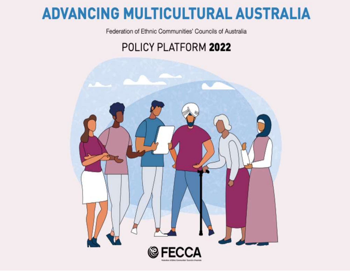# **ADVANCING MULTICULTURAL AUSTRALIA**

Federation of Ethnic Communities' Councils of Australia

# POLICY PLATFORM 2022

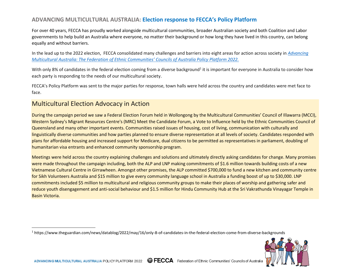#### **ADVANCING MULTICULTURAL AUSTRALIA: Election response to FECCA's Policy Platform**

For over 40 years, FECCA has proudly worked alongside multicultural communities, broader Australian society and both Coalition and Labor governments to help build an Australia where everyone, no matter their background or how long they have lived in this country, can belong equally and without barriers.

In the lead up to the 2022 election, FECCA consolidated many challenges and barriers into eight areas for action across society in *[Advancing](https://fecca.org.au/wp-content/uploads/2022/04/FECCA-Policy-Platform-2022.pdf)  [Multicultural Australia: The Federation of Ethnic Communities' Councils of Australia Policy Platform 2022.](https://fecca.org.au/wp-content/uploads/2022/04/FECCA-Policy-Platform-2022.pdf)*

With only 8% of candidates in the federal election coming from a diverse background<sup>1</sup> it is important for everyone in Australia to consider how each party is responding to the needs of our multicultural society.

FECCA's Policy Platform was sent to the major parties for response, town halls were held across the country and candidates were met face to face.

## Multicultural Election Advocacy in Action

During the campaign period we saw a Federal Election Forum held in Wollongong by the Multicultural Communities' Council of Illawarra (MCCI), Western Sydney's Migrant Resources Centre's (MRC) Meet the Candidate Forum, a Vote to Influence held by the Ethnic Communities Council of Queensland and many other important events. Communities raised issues of housing, cost of living, communication with culturally and linguistically diverse communities and how parties planned to ensure diverse representation at all levels of society. Candidates responded with plans for affordable housing and increased support for Medicare, dual citizens to be permitted as representatives in parliament, doubling of humanitarian visa entrants and enhanced community sponsorship program.

Meetings were held across the country explaining challenges and solutions and ultimately directly asking candidates for change. Many promises were made throughout the campaign including, both the ALP and LNP making commitments of \$1.6 million towards building costs of a new Vietnamese Cultural Centre in Girrawheen. Amongst other promises, the ALP committed \$700,000 to fund a new kitchen and community centre for Sikh Volunteers Australia and \$15 million to give every community language school in Australia a funding boost of up to \$30,000. LNP commitments included \$5 million to multicultural and religious community groups to make their places of worship and gathering safer and reduce youth disengagement and anti-social behaviour and \$1.5 million for Hindu Community Hub at the Sri Vakrathunda Vinayagar Temple in Basin Victoria.

<sup>1</sup> https://www.theguardian.com/news/datablog/2022/may/16/only-8-of-candidates-in-the-federal-election-come-from-diverse-backgrounds

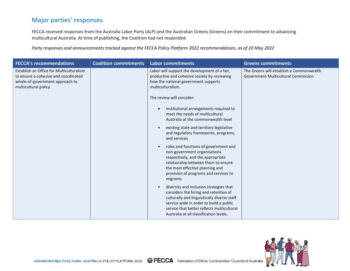# Major parties' responses

FECCA received responses from the Australia Labor Party (ALP) and the Australian Greens (Greens) on their commitment to advancing multicultural Australia. At time of publishing, the Coalition had not responded.

*Party responses and announcements tracked against the FECCA Policy Platform 2022 recommendations, as of 20 May 2022*

| <b>FECCA's recommendations</b>                                                                                                              | <b>Coalition commitments</b> | <b>Labor commitments</b>                                                                                                                                                                                                                                                                                                                                                                                                                                                                                                                                                                                                                                                                                                                                                                                                                                                                                                                                                                | <b>Greens commitments</b>                                                       |
|---------------------------------------------------------------------------------------------------------------------------------------------|------------------------------|-----------------------------------------------------------------------------------------------------------------------------------------------------------------------------------------------------------------------------------------------------------------------------------------------------------------------------------------------------------------------------------------------------------------------------------------------------------------------------------------------------------------------------------------------------------------------------------------------------------------------------------------------------------------------------------------------------------------------------------------------------------------------------------------------------------------------------------------------------------------------------------------------------------------------------------------------------------------------------------------|---------------------------------------------------------------------------------|
| Establish an Office for Multiculturalism<br>to ensure a cohesive and coordinated<br>whole-of-government approach to<br>multicultural policy |                              | Labor will support the development of a fair,<br>productive and cohesive society by reviewing<br>how the national government supports<br>multiculturalism.<br>The review will consider:<br>institutional arrangements required to<br>$\bullet$<br>meet the needs of multicultural<br>Australia at the commonwealth level<br>existing state and territory legislative<br>$\bullet$<br>and regulatory frameworks, programs,<br>and services<br>roles and functions of government and<br>$\bullet$<br>non-government organisations<br>respectively, and the appropriate<br>relationship between them to ensure<br>the most effective planning and<br>provision of programs and services to<br>migrants<br>diversity and inclusion strategies that<br>$\bullet$<br>considers the hiring and retention of<br>culturally and linguistically diverse staff<br>service wide in order to build a public<br>service that better reflects multicultural<br>Australia at all classification levels. | The Greens will establish a Commonwealth<br>Government Multicultural Commission |

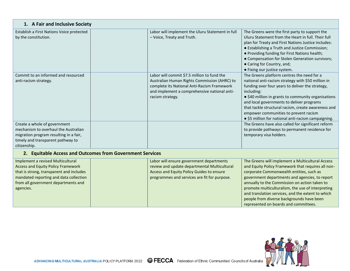| 1. A Fair and Inclusive Society                                                                                                                                     |                                                                                                                                                                                                                |                                                                                                                                                                                                                                                                                                                                                                                                                               |  |
|---------------------------------------------------------------------------------------------------------------------------------------------------------------------|----------------------------------------------------------------------------------------------------------------------------------------------------------------------------------------------------------------|-------------------------------------------------------------------------------------------------------------------------------------------------------------------------------------------------------------------------------------------------------------------------------------------------------------------------------------------------------------------------------------------------------------------------------|--|
| Establish a First Nations Voice protected<br>by the constitution.                                                                                                   | Labor will implement the Uluru Statement in full<br>- Voice, Treaty and Truth.                                                                                                                                 | The Greens were the first party to support the<br>Uluru Statement from the Heart in full. Their full<br>plan for Treaty and First Nations Justice includes:<br>• Establishing a Truth and Justice Commission;<br>. Providing funding for First Nations health;<br>• Compensation for Stolen Generation survivors;<br>• Caring for Country, and;<br>• Fixing our justice system.                                               |  |
| Commit to an informed and resourced<br>anti-racism strategy.                                                                                                        | Labor will commit \$7.5 million to fund the<br>Australian Human Rights Commission (AHRC) to<br>complete its National Anti-Racism Framework<br>and implement a comprehensive national anti-<br>racism strategy. | The Greens platform centres the need for a<br>national anti-racism strategy with \$50 million in<br>funding over four years to deliver the strategy,<br>including:<br>• \$40 million in grants to community organisations<br>and local governments to deliver programs<br>that tackle structural racism, create awareness and<br>empower communities to prevent racism<br>• \$5 million for national anti-racism campaigning. |  |
| Create a whole of government<br>mechanism to overhaul the Australian<br>migration program resulting in a fair,<br>timely and transparent pathway to<br>citizenship. |                                                                                                                                                                                                                | The Greens have also called for significant reform<br>to provide pathways to permanent residence for<br>temporary visa holders.                                                                                                                                                                                                                                                                                               |  |
| $\bullet$ . The fields access that $\bullet$ is the set of the set $\bullet$ is the set of $\bullet$ .                                                              |                                                                                                                                                                                                                |                                                                                                                                                                                                                                                                                                                                                                                                                               |  |

#### **2. Equitable Access and Outcomes from Government Services**

| Implement a revised Multicultural         | Labor will ensure government departments     | The Greens will implement a Multicultural Access   |
|-------------------------------------------|----------------------------------------------|----------------------------------------------------|
| <b>Access and Equity Policy Framework</b> | review and update departmental Multicultural | and Equity Policy Framework that requires all non- |
| that is strong, transparent and includes  | Access and Equity Policy Guides to ensure    | corporate Commonwealth entities, such as           |
| mandated reporting and data collection    | programmes and services are fit for purpose. | government departments and agencies, to report     |
| from all government departments and       |                                              | annually to the Commission on action taken to      |
| agencies.                                 |                                              | promote multiculturalism, the use of interpreting  |
|                                           |                                              | and translation services, and the extent to which  |
|                                           |                                              | people from diverse backgrounds have been          |
|                                           |                                              | represented on boards and committees.              |

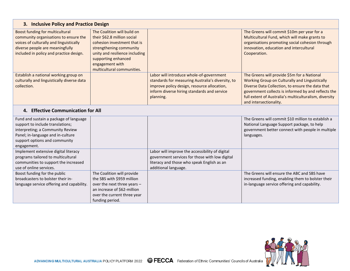| 3. Inclusive Policy and Practice Design                                                                                                                                                           |                                                                                                                                                                                                                                |                                                                                                                                                                                                          |                                                                                                                                                                                                                                                                                              |
|---------------------------------------------------------------------------------------------------------------------------------------------------------------------------------------------------|--------------------------------------------------------------------------------------------------------------------------------------------------------------------------------------------------------------------------------|----------------------------------------------------------------------------------------------------------------------------------------------------------------------------------------------------------|----------------------------------------------------------------------------------------------------------------------------------------------------------------------------------------------------------------------------------------------------------------------------------------------|
| Boost funding for multicultural<br>community organisations to ensure the<br>voices of culturally and linguistically<br>diverse people are meaningfully<br>included in policy and practice design. | The Coalition will build on<br>their \$62.8 million social<br>cohesion investment that is<br>strengthening community<br>unity and resilience including<br>supporting enhanced<br>engagement with<br>multicultural communities. |                                                                                                                                                                                                          | The Greens will commit \$10m per year for a<br>Multicultural Fund, which will make grants to<br>organisations promoting social cohesion through<br>innovation, education and intercultural<br>Cooperation.                                                                                   |
| Establish a national working group on<br>culturally and linguistically diverse data<br>collection.                                                                                                |                                                                                                                                                                                                                                | Labor will introduce whole-of-government<br>standards for measuring Australia's diversity, to<br>improve policy design, resource allocation,<br>inform diverse hiring standards and service<br>planning. | The Greens will provide \$5m for a National<br>Working Group on Culturally and Linguistically<br>Diverse Data Collection, to ensure the data that<br>government collects is informed by and reflects the<br>full extent of Australia's multiculturalism, diversity<br>and intersectionality. |

#### **4. Effective Communication for All**

| Fund and sustain a package of language<br>support to include translations;<br>interpreting; a Community Review<br>Panel; in-language and in-culture |                             |                                                 | The Greens will commit \$10 million to establish a<br>National Language Support package, to help<br>government better connect with people in multiple<br>languages. |
|-----------------------------------------------------------------------------------------------------------------------------------------------------|-----------------------------|-------------------------------------------------|---------------------------------------------------------------------------------------------------------------------------------------------------------------------|
| support options and community                                                                                                                       |                             |                                                 |                                                                                                                                                                     |
| engagement.                                                                                                                                         |                             |                                                 |                                                                                                                                                                     |
| Implement extensive digital literacy                                                                                                                |                             | Labor will improve the accessibility of digital |                                                                                                                                                                     |
| programs tailored to multicultural                                                                                                                  |                             | government services for those with low digital  |                                                                                                                                                                     |
| communities to support the increased                                                                                                                |                             | literacy and those who speak English as an      |                                                                                                                                                                     |
| use of online services.                                                                                                                             |                             | additional language.                            |                                                                                                                                                                     |
| Boost funding for the public                                                                                                                        | The Coalition will provide  |                                                 | The Greens will ensure the ABC and SBS have                                                                                                                         |
| broadcasters to bolster their in-                                                                                                                   | the SBS with \$959 million  |                                                 | increased funding, enabling them to bolster their                                                                                                                   |
| language service offering and capability.                                                                                                           | over the next three years - |                                                 | in-language service offering and capability.                                                                                                                        |
|                                                                                                                                                     | an increase of \$62-million |                                                 |                                                                                                                                                                     |
|                                                                                                                                                     | over the current three year |                                                 |                                                                                                                                                                     |
|                                                                                                                                                     | funding period.             |                                                 |                                                                                                                                                                     |

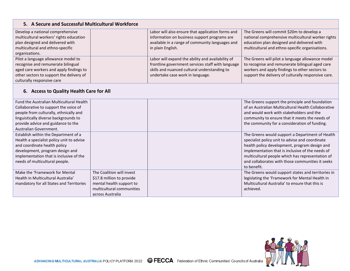| 5. A Secure and Successful Multicultural Workforce |  |                                                   |                                                     |
|----------------------------------------------------|--|---------------------------------------------------|-----------------------------------------------------|
| Develop a national comprehensive                   |  | Labor will also ensure that application forms and | The Greens will commit \$20m to develop a           |
| multicultural workers' rights education            |  | information on business support programs are      | national comprehensive multicultural worker rights  |
| plan designed and delivered with                   |  | available in a range of community languages and   | education plan designed and delivered with          |
| multicultural and ethno-specific                   |  | in plain English.                                 | multicultural and ethno-specific organisations.     |
| organisations.                                     |  |                                                   |                                                     |
| Pilot a language allowance model to                |  | Labor will expand the ability and availability of | The Greens will pilot a language allowance model    |
| recognise and remunerate bilingual                 |  | frontline government services staff with language | to recognise and remunerate bilingual aged care     |
| aged care workers and apply findings to            |  | skills and nuanced cultural understanding to      | workers and apply findings to other sectors to      |
| other sectors to support the delivery of           |  | undertake case work in language.                  | support the delivery of culturally responsive care. |
| culturally responsive care                         |  |                                                   |                                                     |
|                                                    |  |                                                   |                                                     |

### **6. Access to Quality Health Care for All**

| Fund the Australian Multicultural Health<br>Collaborative to support the voice of |                           | The Greens support the principle and foundation<br>of an Australian Multicultural Health Collaborative |
|-----------------------------------------------------------------------------------|---------------------------|--------------------------------------------------------------------------------------------------------|
| people from culturally, ethnically and                                            |                           | and would work with stakeholders and the                                                               |
| linguistically diverse backgrounds to                                             |                           | community to ensure that it meets the needs of                                                         |
| provide advice and guidance to the                                                |                           | the community for a consideration of funding.                                                          |
| Australian Government.                                                            |                           |                                                                                                        |
| Establish within the Department of a                                              |                           | The Greens would support a Department of Health                                                        |
| Health a specialist policy unit to advise                                         |                           | specialist policy unit to advise and coordinate                                                        |
| and coordinate health policy                                                      |                           | health policy development, program design and                                                          |
| development, program design and                                                   |                           | implementation that is inclusive of the needs of                                                       |
| implementation that is inclusive of the                                           |                           | multicultural people which has representation of                                                       |
| needs of multicultural people.                                                    |                           | and collaborates with those communities it seeks                                                       |
|                                                                                   |                           | to benefit.                                                                                            |
| Make the 'Framework for Mental                                                    | The Coalition will invest | The Greens would support states and territories in                                                     |
| Health in Multicultural Australia'                                                | \$17.8 million to provide | legislating the 'Framework for Mental Health in                                                        |
| mandatory for all States and Territories                                          | mental health support to  | Multicultural Australia' to ensure that this is                                                        |
|                                                                                   | multicultural communities | achieved.                                                                                              |
|                                                                                   | across Australia          |                                                                                                        |